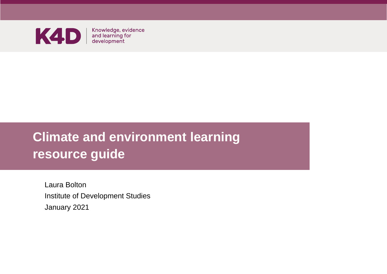

Knowledge, evidence<br>and learning for<br>development

# **Climate and environment learning resource guide**

Laura Bolton Institute of Development Studies January 2021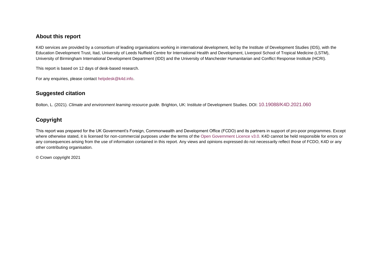#### **About this report**

K4D services are provided by a consortium of leading organisations working in international development, led by the Institute of Development Studies (IDS), with the Education Development Trust, Itad, University of Leeds Nuffield Centre for International Health and Development, Liverpool School of Tropical Medicine (LSTM), University of Birmingham International Development Department (IDD) and the University of Manchester Humanitarian and Conflict Response Institute (HCRI).

This report is based on 12 days of desk-based research.

For any enquiries, please contact [helpdesk@k4d.info.](mailto:helpdesk@k4d.info)

#### **Suggested citation**

Bolton, L. (2021). *Climate and environment learning resource guide.* Brighton, UK: Institute of Development Studies. DOI: [10.19088/K4D.2021.060](https://doi.org/10.19088/K4D.2021.060)

#### **Copyright**

This report was prepared for the UK Government's Foreign, Commonwealth and Development Office (FCDO) and its partners in support of pro-poor programmes. Except where otherwise stated, it is licensed for non-commercial purposes under the terms of th[e Open Government Licence v3.0.](https://www.nationalarchives.gov.uk/doc/open-government-licence/version/3/) K4D cannot be held responsible for errors or any consequences arising from the use of information contained in this report. Any views and opinions expressed do not necessarily reflect those of FCDO, K4D or any other contributing organisation.

© Crown copyright 2021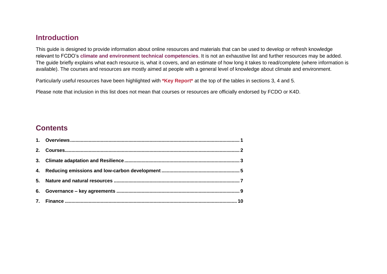#### **Introduction**

This guide is designed to provide information about online resources and materials that can be used to develop or refresh knowledge relevant to FCDO's **[climate and environment](https://assets.publishing.service.gov.uk/government/uploads/system/uploads/attachment_data/file/928605/FCDO-Humanitarian-TCF-2020.pdf) technical competencies**. It is not an exhaustive list and further resources may be added. The guide briefly explains what each resource is, what it covers, and an estimate of how long it takes to read/complete (where information is available). The courses and resources are mostly aimed at people with a general level of knowledge about climate and environment.

Particularly useful resources have been highlighted with **\*Key Report\*** at the top of the tables in sections 3, 4 and 5.

Please note that inclusion in this list does not mean that courses or resources are officially endorsed by FCDO or K4D.

#### **Contents**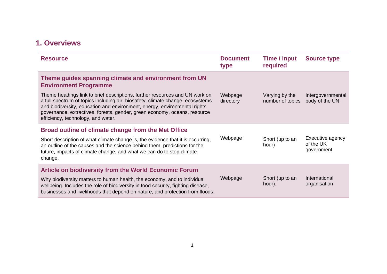## <span id="page-3-0"></span>**1. Overviews**

| <b>Resource</b>                                                                                                                                                                                                                                                                                                                                               | <b>Document</b><br>type | Time / input<br>required           | <b>Source type</b>                          |
|---------------------------------------------------------------------------------------------------------------------------------------------------------------------------------------------------------------------------------------------------------------------------------------------------------------------------------------------------------------|-------------------------|------------------------------------|---------------------------------------------|
| Theme guides spanning climate and environment from UN<br><b>Environment Programme</b>                                                                                                                                                                                                                                                                         |                         |                                    |                                             |
| Theme headings link to brief descriptions, further resources and UN work on<br>a full spectrum of topics including air, biosafety, climate change, ecosystems<br>and biodiversity, education and environment, energy, environmental rights<br>governance, extractives, forests, gender, green economy, oceans, resource<br>efficiency, technology, and water. | Webpage<br>directory    | Varying by the<br>number of topics | Intergovernmental<br>body of the UN         |
| Broad outline of climate change from the Met Office                                                                                                                                                                                                                                                                                                           |                         |                                    |                                             |
| Short description of what climate change is, the evidence that it is occurring,<br>an outline of the causes and the science behind them, predictions for the<br>future, impacts of climate change, and what we can do to stop climate<br>change.                                                                                                              | Webpage                 | Short (up to an<br>hour)           | Executive agency<br>of the UK<br>government |
| <b>Article on biodiversity from the World Economic Forum</b>                                                                                                                                                                                                                                                                                                  |                         |                                    |                                             |
| Why biodiversity matters to human health, the economy, and to individual<br>wellbeing. Includes the role of biodiversity in food security, fighting disease,<br>businesses and livelihoods that depend on nature, and protection from floods.                                                                                                                 | Webpage                 | Short (up to an<br>hour).          | International<br>organisation               |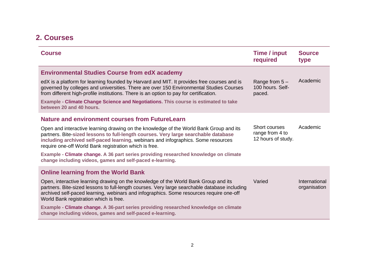## <span id="page-4-0"></span>**2. Courses**

| <b>Course</b>                                                                                                                                                                                                                                                                                                                | Time / input<br>required                               | <b>Source</b><br>type         |
|------------------------------------------------------------------------------------------------------------------------------------------------------------------------------------------------------------------------------------------------------------------------------------------------------------------------------|--------------------------------------------------------|-------------------------------|
| <b>Environmental Studies Course from edX academy</b>                                                                                                                                                                                                                                                                         |                                                        |                               |
| edX is a platform for learning founded by Harvard and MIT. It provides free courses and is<br>governed by colleges and universities. There are over 150 Environmental Studies Courses<br>from different high-profile institutions. There is an option to pay for certification.                                              | Range from $5-$<br>100 hours. Self-<br>paced.          | Academic                      |
| Example - Climate Change Science and Negotiations. This course is estimated to take<br>between 20 and 40 hours.                                                                                                                                                                                                              |                                                        |                               |
| <b>Nature and environment courses from FutureLearn</b>                                                                                                                                                                                                                                                                       |                                                        |                               |
| Open and interactive learning drawing on the knowledge of the World Bank Group and its<br>partners. Bite-sized lessons to full-length courses. Very large searchable database<br>including archived self-paced learning, webinars and infographics. Some resources<br>require one-off World Bank registration which is free. | Short courses<br>range from 4 to<br>12 hours of study. | Academic                      |
| Example - Climate change. A 36 part series providing researched knowledge on climate<br>change including videos, games and self-paced e-learning.                                                                                                                                                                            |                                                        |                               |
| <b>Online learning from the World Bank</b>                                                                                                                                                                                                                                                                                   |                                                        |                               |
| Open, interactive learning drawing on the knowledge of the World Bank Group and its<br>partners. Bite-sized lessons to full-length courses. Very large searchable database including<br>archived self-paced learning, webinars and infographics. Some resources require one-off<br>World Bank registration which is free.    | Varied                                                 | International<br>organisation |
| Example - Climate change. A 36-part series providing researched knowledge on climate<br>change including videos, games and self-paced e-learning.                                                                                                                                                                            |                                                        |                               |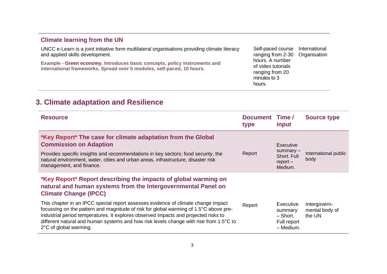#### **[Climate learning from the UN](https://unccelearn.org/)**

UNCC e-Learn is a joint initiative form multilateral organisations providing climate literacy and applied skills development.

**Example - [Green economy.](https://unccelearn.org/course/view.php?id=51&page=overview) Introduces basic concepts, policy instruments and international frameworks. Spread over 5 modules, self-paced, 10 hours.**

Self-paced course ranging from 2-30 hours. A number of video tutorials ranging from 20 minutes to 3 hours. International **Organisation** 

### <span id="page-5-0"></span>**3. Climate adaptation and Resilience**

| <b>Resource</b>                                                                                                                                                                                                                                                                                                                                                                       | Document Time/<br>type | input                                                         | <b>Source type</b>                       |
|---------------------------------------------------------------------------------------------------------------------------------------------------------------------------------------------------------------------------------------------------------------------------------------------------------------------------------------------------------------------------------------|------------------------|---------------------------------------------------------------|------------------------------------------|
| *Key Report* The case for climate adaptation from the Global<br><b>Commission on Adaption</b><br>Provides specific insights and recommendations in key sectors: food security, the<br>natural environment, water, cities and urban areas, infrastructure, disaster risk<br>management, and finance.                                                                                   | Report                 | Executive<br>summary-<br>Short. Full<br>$report -$<br>Medium. | International public<br>body             |
| *Key Report* Report describing the impacts of global warming on<br>natural and human systems from the Intergovernmental Panel on<br><b>Climate Change (IPCC)</b>                                                                                                                                                                                                                      |                        |                                                               |                                          |
| This chapter in an IPCC special report assesses evidence of climate change impact<br>focussing on the pattern and magnitude of risk for global warming of 1.5°C above pre-<br>industrial period temperatures. It explores observed impacts and projected risks to<br>different natural and human systems and how risk levels change with rise from 1.5°C to<br>2°C of global warming. | Report                 | Executive<br>summary<br>– Short.<br>Full report<br>- Medium.  | Intergovern-<br>mental body of<br>the UN |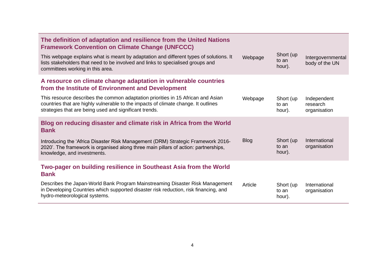| The definition of adaptation and resilience from the United Nations<br><b>Framework Convention on Climate Change (UNFCCC)</b>                                                                                                    |             |                              |                                         |
|----------------------------------------------------------------------------------------------------------------------------------------------------------------------------------------------------------------------------------|-------------|------------------------------|-----------------------------------------|
| This webpage explains what is meant by adaptation and different types of solutions. It<br>lists stakeholders that need to be involved and links to specialised groups and<br>committees working in this area.                    | Webpage     | Short (up<br>to an<br>hour). | Intergovernmental<br>body of the UN     |
| A resource on climate change adaptation in vulnerable countries<br>from the Institute of Environment and Development                                                                                                             |             |                              |                                         |
| This resource describes the common adaptation priorities in 15 African and Asian<br>countries that are highly vulnerable to the impacts of climate change. It outlines<br>strategies that are being used and significant trends. | Webpage     | Short (up<br>to an<br>hour). | Independent<br>research<br>organisation |
| Blog on reducing disaster and climate risk in Africa from the World<br><b>Bank</b>                                                                                                                                               |             |                              |                                         |
| Introducing the 'Africa Disaster Risk Management (DRM) Strategic Framework 2016-<br>2020'. The framework is organised along three main pillars of action: partnerships,<br>knowledge, and investments.                           | <b>Blog</b> | Short (up<br>to an<br>hour). | International<br>organisation           |
| Two-pager on building resilience in Southeast Asia from the World<br><b>Bank</b>                                                                                                                                                 |             |                              |                                         |
| Describes the Japan-World Bank Program Mainstreaming Disaster Risk Management<br>in Developing Countries which supported disaster risk reduction, risk financing, and<br>hydro-meteorological systems.                           | Article     | Short (up<br>to an<br>hour). | International<br>organisation           |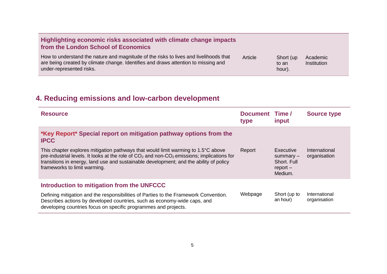| Highlighting economic risks associated with climate change impacts<br>from the London School of Economics                                                                                               |         |                              |                                |
|---------------------------------------------------------------------------------------------------------------------------------------------------------------------------------------------------------|---------|------------------------------|--------------------------------|
| How to understand the nature and magnitude of the risks to lives and livelihoods that<br>are being created by climate change. Identifies and draws attention to missing and<br>under-represented risks. | Article | Short (up<br>to an<br>hour). | Academic<br><b>Institution</b> |

# <span id="page-7-0"></span>**4. Reducing emissions and low-carbon development**

| <b>Resource</b>                                                                                                                                                                                                                                                                                                                   | Document Time/<br>type | input                                                                   | <b>Source type</b>            |  |
|-----------------------------------------------------------------------------------------------------------------------------------------------------------------------------------------------------------------------------------------------------------------------------------------------------------------------------------|------------------------|-------------------------------------------------------------------------|-------------------------------|--|
| *Key Report* Special report on mitigation pathway options from the<br><b>IPCC</b>                                                                                                                                                                                                                                                 |                        |                                                                         |                               |  |
| This chapter explores mitigation pathways that would limit warming to $1.5^{\circ}$ C above<br>pre-industrial levels. It looks at the role of $CO2$ and non-CO <sub>2</sub> emissions; implications for<br>transitions in energy, land use and sustainable development; and the ability of policy<br>frameworks to limit warming. | Report                 | <b>Executive</b><br>$summarv -$<br>Short. Full<br>$report -$<br>Medium. | International<br>organisation |  |
| Introduction to mitigation from the UNFCCC                                                                                                                                                                                                                                                                                        |                        |                                                                         |                               |  |
| Defining mitigation and the responsibilities of Parties to the Framework Convention.<br>Describes actions by developed countries, such as economy-wide caps, and<br>developing countries focus on specific programmes and projects.                                                                                               | Webpage                | Short (up to<br>an hour)                                                | International<br>organisation |  |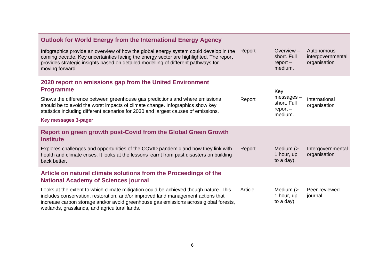| <b>Outlook for World Energy from the International Energy Agency</b>                                                                                                                                                                                                                                                                                              |         |                                                          |                                                 |
|-------------------------------------------------------------------------------------------------------------------------------------------------------------------------------------------------------------------------------------------------------------------------------------------------------------------------------------------------------------------|---------|----------------------------------------------------------|-------------------------------------------------|
| Infographics provide an overview of how the global energy system could develop in the<br>coming decade. Key uncertainties facing the energy sector are highlighted. The report<br>provides strategic insights based on detailed modelling of different pathways for<br>moving forward.                                                                            | Report  | Overview $-$<br>short. Full<br>$report -$<br>medium.     | Autonomous<br>intergovernmental<br>organisation |
| 2020 report on emissions gap from the United Environment<br><b>Programme</b><br>Shows the difference between greenhouse gas predictions and where emissions<br>should be to avoid the worst impacts of climate change. Infographics show key<br>statistics including different scenarios for 2030 and largest causes of emissions.<br><b>Key messages 3-pager</b> | Report  | Key<br>messages-<br>short. Full<br>$report -$<br>medium. | International<br>organisation                   |
| Report on green growth post-Covid from the Global Green Growth<br><b>Institute</b><br>Explores challenges and opportunities of the COVID pandemic and how they link with<br>health and climate crises. It looks at the lessons learnt from past disasters on building<br>back better.                                                                             | Report  | Medium (><br>1 hour, up<br>to a day).                    | Intergovernmental<br>organisation               |
| Article on natural climate solutions from the Proceedings of the<br><b>National Academy of Sciences journal</b>                                                                                                                                                                                                                                                   |         |                                                          |                                                 |
| Looks at the extent to which climate mitigation could be achieved though nature. This<br>includes conservation, restoration, and/or improved land management actions that<br>increase carbon storage and/or avoid greenhouse gas emissions across global forests,<br>wetlands, grasslands, and agricultural lands.                                                | Article | Medium (><br>1 hour, up<br>to a day).                    | Peer-reviewed<br>journal                        |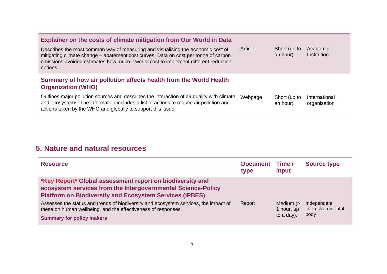| <b>Explainer on the costs of climate mitigation from Our World in Data</b>                                                                                                                                                                                                |         |                           |                               |
|---------------------------------------------------------------------------------------------------------------------------------------------------------------------------------------------------------------------------------------------------------------------------|---------|---------------------------|-------------------------------|
| Describes the most common way of measuring and visualising the economic cost of<br>mitigating climate change - abatement cost curves. Data on cost per tonne of carbon<br>emissions avoided estimates how much it would cost to implement different reduction<br>options. | Article | Short (up to<br>an hour). | Academic<br>Institution       |
| Summary of how air pollution affects health from the World Health<br><b>Organization (WHO)</b>                                                                                                                                                                            |         |                           |                               |
| Outlines major pollution sources and describes the interaction of air quality with climate<br>and ecosystems. The information includes a list of actions to reduce air pollution and<br>actions taken by the WHO and globally to support this issue.                      | Webpage | Short (up to<br>an hour). | International<br>organisation |

### <span id="page-9-0"></span>**5. Nature and natural resources**

| <b>Resource</b>                                                                                                                                                                             | <b>Document</b><br>type | Time /<br>input                        | <b>Source type</b>                       |
|---------------------------------------------------------------------------------------------------------------------------------------------------------------------------------------------|-------------------------|----------------------------------------|------------------------------------------|
| *Key Report* Global assessment report on biodiversity and<br>ecosystem services from the Intergovernmental Science-Policy<br><b>Platform on Biodiversity and Ecosystem Services (IPBES)</b> |                         |                                        |                                          |
| Assesses the status and trends of biodiversity and ecosystem services, the impact of<br>these on human wellbeing, and the effectiveness of responses.<br><b>Summary for policy makers</b>   | Report                  | Medium $($<br>1 hour, up<br>to a day). | Independent<br>intergovernmental<br>body |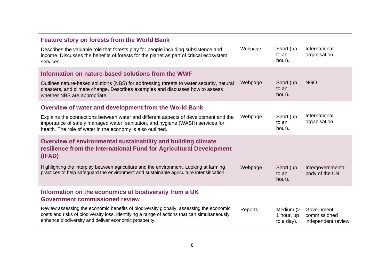| <b>Feature story on forests from the World Bank</b>                                                                                                                                                                                              |         |                                        |                                                  |
|--------------------------------------------------------------------------------------------------------------------------------------------------------------------------------------------------------------------------------------------------|---------|----------------------------------------|--------------------------------------------------|
| Describes the valuable role that forests play for people including subsistence and<br>income. Discusses the benefits of forests for the planet as part of critical ecosystem<br>services.                                                        | Webpage | Short (up<br>to an<br>hour).           | International<br>organisation                    |
| Information on nature-based solutions from the WWF                                                                                                                                                                                               |         |                                        |                                                  |
| Outlines nature-based solutions (NBS) for addressing threats to water security, natural<br>disasters, and climate change. Describes examples and discusses how to assess<br>whether NBS are appropriate.                                         | Webpage | Short (up)<br>to an<br>hour).          | <b>NGO</b>                                       |
| Overview of water and development from the World Bank                                                                                                                                                                                            |         |                                        |                                                  |
| Explains the connections between water and different aspects of development and the<br>importance of safely managed water, sanitation, and hygiene (WASH) services for<br>health. The role of water in the economy is also outlined.             | Webpage | Short (up<br>to an<br>hour).           | International<br>organisation                    |
| Overview of environmental sustainability and building climate<br>resilience from the International Fund for Agricultural Development<br>(IFAD)                                                                                                   |         |                                        |                                                  |
| Highlighting the interplay between agriculture and the environment. Looking at farming<br>practices to help safeguard the environment and sustainable agriculture intensification.                                                               | Webpage | Short (up<br>to an<br>hour).           | Intergovernmental<br>body of the UN              |
| Information on the economics of biodiversity from a UK<br><b>Government commissioned review</b>                                                                                                                                                  |         |                                        |                                                  |
| Review assessing the economic benefits of biodiversity globally, assessing the economic<br>costs and risks of biodiversity loss, identifying a range of actions that can simultaneously<br>enhance biodiversity and deliver economic prosperity. | Reports | Medium $($<br>1 hour, up<br>to a day). | Government<br>commissioned<br>independent review |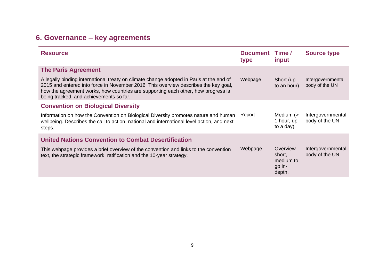## <span id="page-11-0"></span>**6. Governance – key agreements**

| <b>Resource</b>                                                                                                                                                                                                                                                                                                | Document Time /<br>type | input                                               | <b>Source type</b>                  |
|----------------------------------------------------------------------------------------------------------------------------------------------------------------------------------------------------------------------------------------------------------------------------------------------------------------|-------------------------|-----------------------------------------------------|-------------------------------------|
| <b>The Paris Agreement</b>                                                                                                                                                                                                                                                                                     |                         |                                                     |                                     |
| A legally binding international treaty on climate change adopted in Paris at the end of<br>2015 and entered into force in November 2016. This overview describes the key goal,<br>how the agreement works, how countries are supporting each other, how progress is<br>being tracked, and achievements so far. | Webpage                 | Short (up<br>to an hour).                           | Intergovernmental<br>body of the UN |
| <b>Convention on Biological Diversity</b>                                                                                                                                                                                                                                                                      |                         |                                                     |                                     |
| Information on how the Convention on Biological Diversity promotes nature and human<br>wellbeing. Describes the call to action, national and international level action, and next<br>steps.                                                                                                                    | Report                  | Medium $($<br>1 hour, up<br>to a day).              | Intergovernmental<br>body of the UN |
| <b>United Nations Convention to Combat Desertification</b>                                                                                                                                                                                                                                                     |                         |                                                     |                                     |
| This webpage provides a brief overview of the convention and links to the convention<br>text, the strategic framework, ratification and the 10-year strategy.                                                                                                                                                  | Webpage                 | Overview<br>short,<br>medium to<br>go in-<br>depth. | Intergovernmental<br>body of the UN |